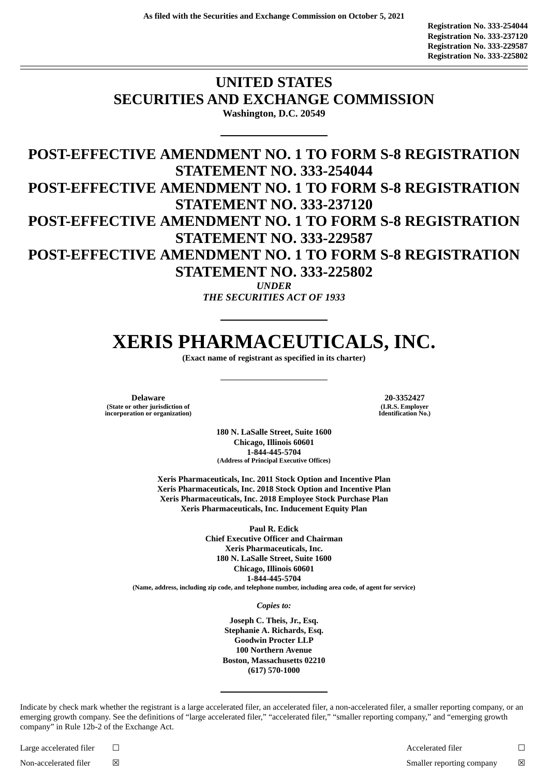## **UNITED STATES SECURITIES AND EXCHANGE COMMISSION Washington, D.C. 20549**

**POST-EFFECTIVE AMENDMENT NO. 1 TO FORM S-8 REGISTRATION STATEMENT NO. 333-254044 POST-EFFECTIVE AMENDMENT NO. 1 TO FORM S-8 REGISTRATION STATEMENT NO. 333-237120 POST-EFFECTIVE AMENDMENT NO. 1 TO FORM S-8 REGISTRATION STATEMENT NO. 333-229587 POST-EFFECTIVE AMENDMENT NO. 1 TO FORM S-8 REGISTRATION STATEMENT NO. 333-225802** *UNDER*

*THE SECURITIES ACT OF 1933*

# **XERIS PHARMACEUTICALS, INC.**

**(Exact name of registrant as specified in its charter)**

**Delaware 20-3352427 (State or other jurisdiction of incorporation or organization)**

**(I.R.S. Employer Identification No.)**

**180 N. LaSalle Street, Suite 1600 Chicago, Illinois 60601 1-844-445-5704 (Address of Principal Executive Offices)**

**Xeris Pharmaceuticals, Inc. 2011 Stock Option and Incentive Plan Xeris Pharmaceuticals, Inc. 2018 Stock Option and Incentive Plan Xeris Pharmaceuticals, Inc. 2018 Employee Stock Purchase Plan Xeris Pharmaceuticals, Inc. Inducement Equity Plan**

> **Paul R. Edick Chief Executive Officer and Chairman Xeris Pharmaceuticals, Inc. 180 N. LaSalle Street, Suite 1600 Chicago, Illinois 60601 1-844-445-5704**

**(Name, address, including zip code, and telephone number, including area code, of agent for service)**

*Copies to:*

**Joseph C. Theis, Jr., Esq. Stephanie A. Richards, Esq. Goodwin Procter LLP 100 Northern Avenue Boston, Massachusetts 02210 (617) 570-1000**

Indicate by check mark whether the registrant is a large accelerated filer, an accelerated filer, a non-accelerated filer, a smaller reporting company, or an emerging growth company. See the definitions of "large accelerated filer," "accelerated filer," "smaller reporting company," and "emerging growth company" in Rule 12b-2 of the Exchange Act.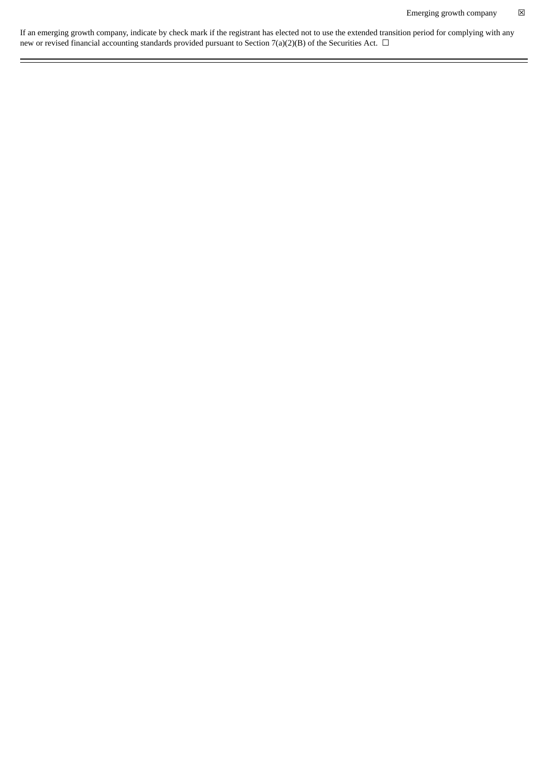If an emerging growth company, indicate by check mark if the registrant has elected not to use the extended transition period for complying with any new or revised financial accounting standards provided pursuant to Section 7(a)(2)(B) of the Securities Act.  $\Box$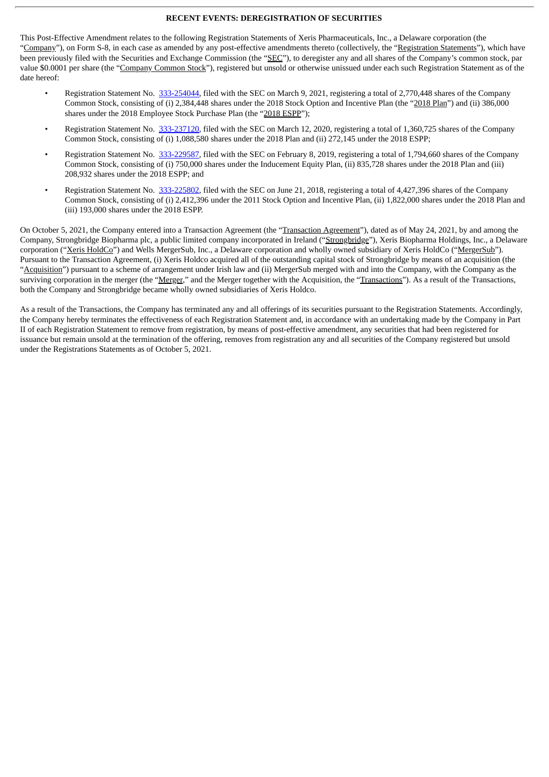#### **RECENT EVENTS: DEREGISTRATION OF SECURITIES**

This Post-Effective Amendment relates to the following Registration Statements of Xeris Pharmaceuticals, Inc., a Delaware corporation (the "Company"), on Form S-8, in each case as amended by any post-effective amendments thereto (collectively, the "Registration Statements"), which have been previously filed with the Securities and Exchange Commission (the "SEC"), to deregister any and all shares of the Company's common stock, par value \$0.0001 per share (the "Company Common Stock"), registered but unsold or otherwise unissued under each such Registration Statement as of the date hereof:

- Registration Statement No. [333-254044](http://www.sec.gov/Archives/edgar/data/1346302/000134630221000028/a2021forms-8registrationst.htm), filed with the SEC on March 9, 2021, registering a total of 2,770,448 shares of the Company Common Stock, consisting of (i) 2,384,448 shares under the 2018 Stock Option and Incentive Plan (the "2018 Plan") and (ii) 386,000 shares under the 2018 Employee Stock Purchase Plan (the "2018 ESPP");
- Registration Statement No. [333-237120](http://www.sec.gov/Archives/edgar/data/1346302/000134630220000010/forms-8.htm), filed with the SEC on March 12, 2020, registering a total of 1,360,725 shares of the Company Common Stock, consisting of (i) 1,088,580 shares under the 2018 Plan and (ii) 272,145 under the 2018 ESPP;
- Registration Statement No. [333-229587](http://www.sec.gov/Archives/edgar/data/1346302/000119312519032355/d723453ds8.htm), filed with the SEC on February 8, 2019, registering a total of 1,794,660 shares of the Company Common Stock, consisting of (i) 750,000 shares under the Inducement Equity Plan, (ii) 835,728 shares under the 2018 Plan and (iii) 208,932 shares under the 2018 ESPP; and
- Registration Statement No. [333-225802](http://www.sec.gov/Archives/edgar/data/1346302/000119312518199687/d610188ds8.htm), filed with the SEC on June 21, 2018, registering a total of 4,427,396 shares of the Company Common Stock, consisting of (i) 2,412,396 under the 2011 Stock Option and Incentive Plan, (ii) 1,822,000 shares under the 2018 Plan and (iii) 193,000 shares under the 2018 ESPP.

On October 5, 2021, the Company entered into a Transaction Agreement (the "Transaction Agreement"), dated as of May 24, 2021, by and among the Company, Strongbridge Biopharma plc, a public limited company incorporated in Ireland ("Strongbridge"), Xeris Biopharma Holdings, Inc., a Delaware corporation ("Xeris HoldCo") and Wells MergerSub, Inc., a Delaware corporation and wholly owned subsidiary of Xeris HoldCo ("MergerSub"). Pursuant to the Transaction Agreement, (i) Xeris Holdco acquired all of the outstanding capital stock of Strongbridge by means of an acquisition (the "Acquisition") pursuant to a scheme of arrangement under Irish law and (ii) MergerSub merged with and into the Company, with the Company as the surviving corporation in the merger (the "Merger," and the Merger together with the Acquisition, the "Transactions"). As a result of the Transactions, both the Company and Strongbridge became wholly owned subsidiaries of Xeris Holdco.

As a result of the Transactions, the Company has terminated any and all offerings of its securities pursuant to the Registration Statements. Accordingly, the Company hereby terminates the effectiveness of each Registration Statement and, in accordance with an undertaking made by the Company in Part II of each Registration Statement to remove from registration, by means of post-effective amendment, any securities that had been registered for issuance but remain unsold at the termination of the offering, removes from registration any and all securities of the Company registered but unsold under the Registrations Statements as of October 5, 2021.